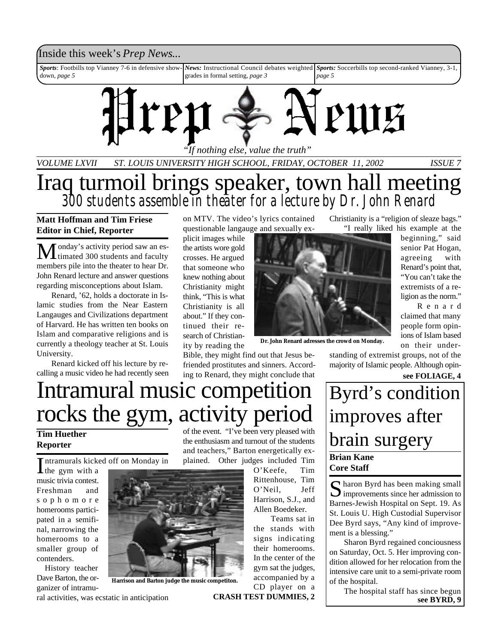# Inside this week's *Prep News*...

*Sports*: Footbills top Vianney 7-6 in defensive showdown, *page 5 News:* Instructional Council debates weighted *Sports:* Soccerbills top second-ranked Vianney, 3-1, grades in formal setting, *page 3 page 5*



*VOLUME LXVII ST. LOUIS UNIVERSITY HIGH SCHOOL, FRIDAY, OCTOBER 11, 2002 ISSUE 7*

Iraq turmoil brings speaker, town hall meeting *300 students assemble in theater for a lecture by Dr. John Renard*

## **Matt Hoffman and Tim Friese Editor in Chief, Reporter**

Monday's activity period saw an es-timated 300 students and faculty members pile into the theater to hear Dr. John Renard lecture and answer questions regarding misconceptions about Islam.

Renard, '62, holds a doctorate in Islamic studies from the Near Eastern Langauges and Civilizations department of Harvard. He has written ten books on Islam and comparative religions and is currently a theology teacher at St. Louis University.

Renard kicked off his lecture by recalling a music video he had recently seen on MTV. The video's lyrics contained questionable langauge and sexually ex-

plicit images while the artists wore gold crosses. He argued that someone who knew nothing about Christianity might think, "This is what Christianity is all about." If they continued their research of Christianity by reading the

Bible, they might find out that Jesus befriended prostitutes and sinners. According to Renard, they might conclude that

Christianity is a "religion of sleaze bags." "I really liked his example at the

beginning," said senior Pat Hogan, agreeing with Renard's point that, "You can't take the extremists of a religion as the norm."

R e n a r d claimed that many people form opinions of Islam based on their under-

standing of extremist groups, not of the majority of Islamic people. Although opin-

**see FOLIAGE, 4**

# Intramural music competition rocks the gym, activity period

## **Tim Huether Reporter**

Intramurals kicked off on Monday in<br>the gym with a

the gym with a music trivia contest. Freshman and s o p h o m o r e homerooms participated in a semifinal, narrowing the homerooms to a smaller group of contenders.

History teacher Dave Barton, the organizer of intramu-



**Harrison and Barton judge the music competiton.**

ral activities, was ecstatic in anticipation

of the event. "I've been very pleased with the enthusiasm and turnout of the students and teachers," Barton energetically explained. Other judges included Tim

> O'Keefe, Tim Rittenhouse, Tim O'Neil, Jeff Harrison, S.J., and Allen Boedeker.

**Dr. John Renard adresses the crowd on Monday.**

Teams sat in the stands with signs indicating their homerooms. In the center of the gym sat the judges, accompanied by a CD player on a

# **Brian Kane Core Staff** Byrd's condition improves after brain surgery

S haron Byrd has been making small<br>improvements since her admission to  $\mathbb{R}$  haron Byrd has been making small Barnes-Jewish Hospital on Sept. 19. As St. Louis U. High Custodial Supervisor Dee Byrd says, "Any kind of improvement is a blessing."

Sharon Byrd regained conciousness on Saturday, Oct. 5. Her improving condition allowed for her relocation from the intensive care unit to a semi-private room of the hospital.

The hospital staff has since begun **CRASH TEST DUMMIES, 2 see BYRD, 9**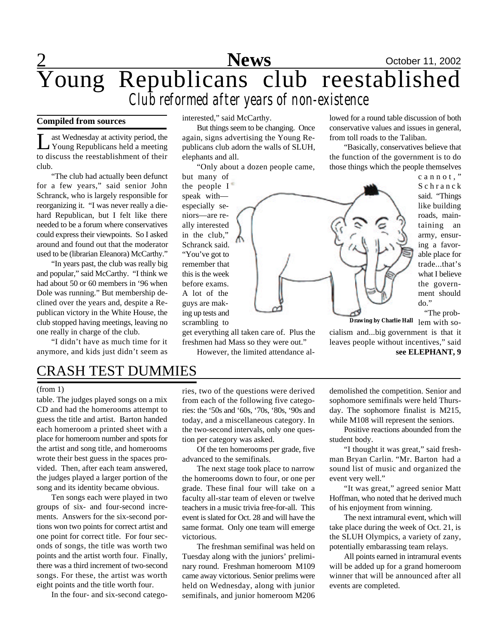# 2 **News** October 11, 2002 Young Republicans club reestablished *Club reformed after years of non-existence*

### **Compiled from sources**

Let Wednesday at activity period, the Young Republicans held a meeting ast Wednesday at activity period, the to discuss the reestablishment of their club.

"The club had actually been defunct for a few years," said senior John Schranck, who is largely responsible for reorganizing it. "I was never really a diehard Republican, but I felt like there needed to be a forum where conservatives could express their viewpoints. So I asked around and found out that the moderator used to be (librarian Eleanora) McCarthy."

"In years past, the club was really big and popular," said McCarthy. "I think we had about 50 or 60 members in '96 when Dole was running." But membership declined over the years and, despite a Republican victory in the White House, the club stopped having meetings, leaving no one really in charge of the club.

"I didn't have as much time for it anymore, and kids just didn't seem as

interested," said McCarthy.

But things seem to be changing. Once again, signs advertising the Young Republicans club adorn the walls of SLUH, elephants and all.

"Only about a dozen people came,

but many of the people I speak with especially seniors—are really interested in the club," Schranck said. "You've got to remember that this is the week before exams. A lot of the guys are making up tests and scrambling to

get everything all taken care of. Plus the freshmen had Mass so they were out."

However, the limited attendance al-

lowed for a round table discussion of both conservative values and issues in general, from toll roads to the Taliban.

"Basically, conservatives believe that the function of the government is to do those things which the people themselves



c a n n o t ." S c h r a n c k said. "Things like building roads, maintaining an army, ensuring a favorable place for trade...that's what I believe the government should do."

"The prob-

**Drawing by Charlie Hall** lem with socialism and...big government is that it leaves people without incentives," said **see ELEPHANT, 9**

# CRASH TEST DUMMIES

### (from 1)

table. The judges played songs on a mix CD and had the homerooms attempt to guess the title and artist. Barton handed each homeroom a printed sheet with a place for homeroom number and spots for the artist and song title, and homerooms wrote their best guess in the spaces provided. Then, after each team answered, the judges played a larger portion of the song and its identity became obvious.

Ten songs each were played in two groups of six- and four-second increments. Answers for the six-second portions won two points for correct artist and one point for correct title. For four seconds of songs, the title was worth two points and the artist worth four. Finally, there was a third increment of two-second songs. For these, the artist was worth eight points and the title worth four.

In the four- and six-second catego-

ries, two of the questions were derived from each of the following five categories: the '50s and '60s, '70s, '80s, '90s and today, and a miscellaneous category. In the two-second intervals, only one question per category was asked.

Of the ten homerooms per grade, five advanced to the semifinals.

The next stage took place to narrow the homerooms down to four, or one per grade. These final four will take on a faculty all-star team of eleven or twelve teachers in a music trivia free-for-all. This event is slated for Oct. 28 and will have the same format. Only one team will emerge victorious.

The freshman semifinal was held on Tuesday along with the juniors' preliminary round. Freshman homeroom M109 came away victorious. Senior prelims were held on Wednesday, along with junior semifinals, and junior homeroom M206

demolished the competition. Senior and sophomore semifinals were held Thursday. The sophomore finalist is M215, while M108 will represent the seniors.

Positive reactions abounded from the student body.

"I thought it was great," said freshman Bryan Carlin. "Mr. Barton had a sound list of music and organized the event very well."

"It was great," agreed senior Matt Hoffman, who noted that he derived much of his enjoyment from winning.

The next intramural event, which will take place during the week of Oct. 21, is the SLUH Olympics, a variety of zany, potentially embarassing team relays.

All points earned in intramural events will be added up for a grand homeroom winner that will be announced after all events are completed.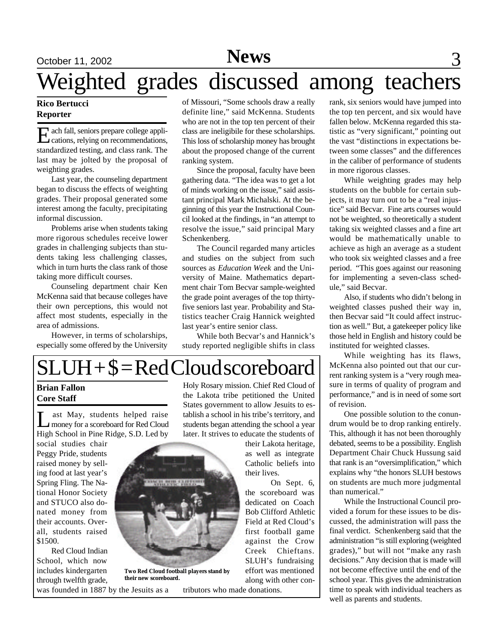# October 11, 2002 **News** 3

# Weighted grades discussed among teachers

### **Rico Bertucci Reporter**

E cations, relying on recommendations, ach fall, seniors prepare college applistandardized testing, and class rank. The last may be jolted by the proposal of weighting grades.

Last year, the counseling department began to discuss the effects of weighting grades. Their proposal generated some interest among the faculty, precipitating informal discussion.

Problems arise when students taking more rigorous schedules receive lower grades in challenging subjects than students taking less challenging classes, which in turn hurts the class rank of those taking more difficult courses.

Counseling department chair Ken McKenna said that because colleges have their own perceptions, this would not affect most students, especially in the area of admissions.

However, in terms of scholarships, especially some offered by the University

of Missouri, "Some schools draw a really definite line," said McKenna. Students who are not in the top ten percent of their class are ineligibile for these scholarships. This loss of scholarship money has brought about the proposed change of the current ranking system.

Since the proposal, faculty have been gathering data. "The idea was to get a lot of minds working on the issue," said assistant principal Mark Michalski. At the beginning of this year the Instructional Council looked at the findings, in "an attempt to resolve the issue," said principal Mary Schenkenberg.

The Council regarded many articles and studies on the subject from such sources as *Education Week* and the University of Maine. Mathematics department chair Tom Becvar sample-weighted the grade point averages of the top thirtyfive seniors last year. Probability and Statistics teacher Craig Hannick weighted last year's entire senior class.

While both Becvar's and Hannick's study reported negligible shifts in class

# $SLUH + $= Red Cloud scoreboard$

## **Brian Fallon Core Staff**

Let May, students helped raise<br>
money for a scoreboard for Red Cloud ast May, students helped raise High School in Pine Ridge, S.D. Led by

social studies chair Peggy Pride, students raised money by selling food at last year's Spring Fling. The National Honor Society and STUCO also donated money from their accounts. Overall, students raised \$1500.

Red Cloud Indian School, which now includes kindergarten through twelfth grade, was founded in 1887 by the Jesuits as a Holy Rosary mission. Chief Red Cloud of the Lakota tribe petitioned the United States government to allow Jesuits to establish a school in his tribe's territory, and students began attending the school a year later. It strives to educate the students of

their Lakota heritage, as well as integrate Catholic beliefs into their lives.

On Sept. 6, the scoreboard was dedicated on Coach Bob Clifford Athletic Field at Red Cloud's first football game against the Crow Creek Chieftans. SLUH's fundraising effort was mentioned along with other con-

tributors who made donations.

rank, six seniors would have jumped into the top ten percent, and six would have fallen below. McKenna regarded this statistic as "very significant," pointing out the vast "distinctions in expectations between some classes" and the differences in the caliber of performance of students in more rigorous classes.

While weighting grades may help students on the bubble for certain subjects, it may turn out to be a "real injustice" said Becvar. Fine arts courses would not be weighted, so theoretically a student taking six weighted classes and a fine art would be mathematically unable to achieve as high an average as a student who took six weighted classes and a free period. "This goes against our reasoning for implementing a seven-class schedule," said Becvar.

Also, if students who didn't belong in weighted classes pushed their way in, then Becvar said "It could affect instruction as well." But, a gatekeeper policy like those held in English and history could be instituted for weighted classes.

While weighting has its flaws, McKenna also pointed out that our current ranking system is a "very rough measure in terms of quality of program and performance," and is in need of some sort of revision.

One possible solution to the conundrum would be to drop ranking entirely. This, although it has not been thoroughly debated, seems to be a possibility. English Department Chair Chuck Hussung said that rank is an "oversimplification," which explains why "the honors SLUH bestows on students are much more judgmental than numerical."

While the Instructional Council provided a forum for these issues to be discussed, the administration will pass the final verdict. Schenkenberg said that the administration "is still exploring (weighted grades)," but will not "make any rash decisions." Any decision that is made will not become effective until the end of the school year. This gives the administration time to speak with individual teachers as well as parents and students.



**their new scoreboard.**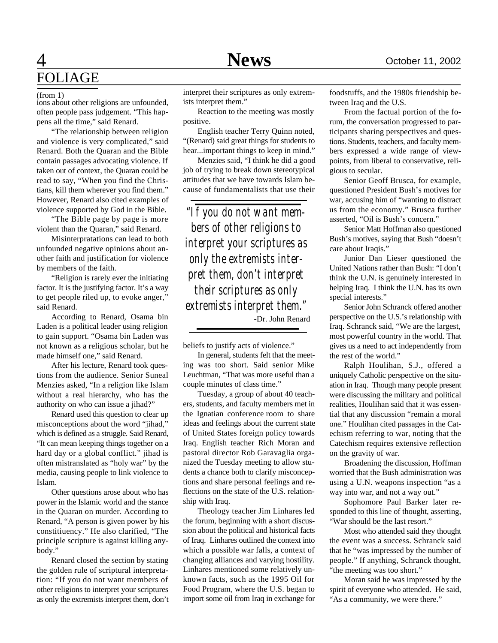### (from 1)

ions about other religions are unfounded, often people pass judgement. "This happens all the time," said Renard.

"The relationship between religion and violence is very complicated," said Renard. Both the Quaran and the Bible contain passages advocating violence. If taken out of context, the Quaran could be read to say, "When you find the Christians, kill them wherever you find them." However, Renard also cited examples of violence supported by God in the Bible.

"The Bible page by page is more violent than the Quaran," said Renard.

Misinterpratations can lead to both unfounded negative opinions about another faith and justification for violence by members of the faith.

"Religion is rarely ever the initiating factor. It is the justifying factor. It's a way to get people riled up, to evoke anger," said Renard.

According to Renard, Osama bin Laden is a political leader using religion to gain support. "Osama bin Laden was not known as a religious scholar, but he made himself one," said Renard.

After his lecture, Renard took questions from the audience. Senior Suneal Menzies asked, "In a religion like Islam without a real hierarchy, who has the authority on who can issue a jihad?"

Renard used this question to clear up misconceptions about the word "jihad," which is defined as a struggle. Said Renard, "It can mean keeping things together on a hard day or a global conflict." jihad is often mistranslated as "holy war" by the media, causing people to link violence to Islam.

Other questions arose about who has power in the Islamic world and the stance in the Quaran on murder. According to Renard, "A person is given power by his constitiuency." He also clarified, "The principle scripture is against killing anybody."

Renard closed the section by stating the golden rule of scriptural interpretation: "If you do not want members of other religions to interpret your scriptures as only the extremists interpret them, don't interpret their scriptures as only extremists interpret them."

Reaction to the meeting was mostly positive.

English teacher Terry Quinn noted, "(Renard) said great things for students to hear...important things to keep in mind."

Menzies said, "I think he did a good job of trying to break down stereotypical attitudes that we have towards Islam because of fundamentalists that use their

*"If you do not want members of other religions to interpret your scriptures as only the extremists interpret them, don't interpret their scriptures as only extremists interpret them."* -Dr. John Renard

beliefs to justify acts of violence."

In general, students felt that the meeting was too short. Said senior Mike Leuchtman, "That was more useful than a couple minutes of class time."

Tuesday, a group of about 40 teachers, students, and faculty members met in the Ignatian conference room to share ideas and feelings about the current state of United States foreign policy towards Iraq. English teacher Rich Moran and pastoral director Rob Garavaglia organized the Tuesday meeting to allow students a chance both to clarify misconceptions and share personal feelings and reflections on the state of the U.S. relationship with Iraq.

Theology teacher Jim Linhares led the forum, beginning with a short discussion about the political and historical facts of Iraq. Linhares outlined the context into which a possible war falls, a context of changing alliances and varying hostility. Linhares mentioned some relatively unknown facts, such as the 1995 Oil for Food Program, where the U.S. began to import some oil from Iraq in exchange for foodstuffs, and the 1980s friendship between Iraq and the U.S.

From the factual portion of the forum, the conversation progressed to participants sharing perspectives and questions. Students, teachers, and faculty members expressed a wide range of viewpoints, from liberal to conservative, religious to secular.

Senior Geoff Brusca, for example, questioned President Bush's motives for war, accusing him of "wanting to distract us from the economy." Brusca further asserted, "Oil is Bush's concern."

Senior Matt Hoffman also questioned Bush's motives, saying that Bush "doesn't care about Iraqis."

Junior Dan Lieser questioned the United Nations rather than Bush: "I don't think the U.N. is genuinely interested in helping Iraq. I think the U.N. has its own special interests."

Senior John Schranck offered another perspective on the U.S.'s relationship with Iraq. Schranck said, "We are the largest, most powerful country in the world. That gives us a need to act independently from the rest of the world."

Ralph Houlihan, S.J., offered a uniquely Catholic perspective on the situation in Iraq. Though many people present were discussing the military and political realities, Houlihan said that it was essential that any discussion "remain a moral one." Houlihan cited passages in the Catechism referring to war, noting that the Catechism requires extensive reflection on the gravity of war.

Broadening the discussion, Hoffman worried that the Bush administration was using a U.N. weapons inspection "as a way into war, and not a way out."

Sophomore Paul Barker later responded to this line of thought, asserting, "War should be the last resort."

Most who attended said they thought the event was a success. Schranck said that he "was impressed by the number of people." If anything, Schranck thought, "the meeting was too short."

Moran said he was impressed by the spirit of everyone who attended. He said, "As a community, we were there."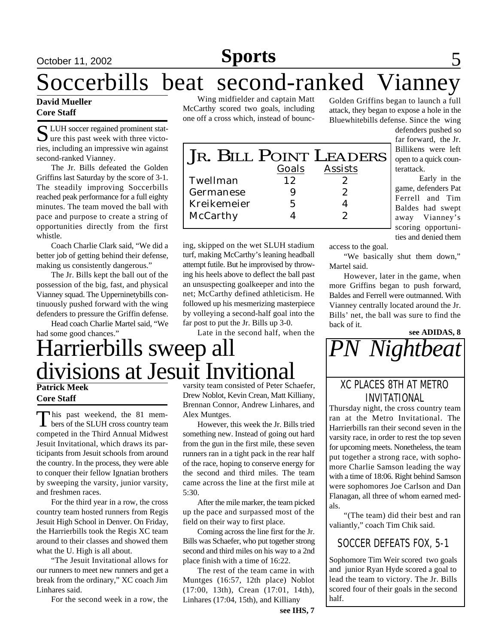# <u>October 11, 2002 **Sports** 5</u>

# Soccerbills beat second-ranked Vianney

### **David Mueller Core Staff**

S LUH soccer regained prominent stat-<br>Jure this past week with three victo- $\sum$  ure this past week with three victories, including an impressive win against second-ranked Vianney.

The Jr. Bills defeated the Golden Griffins last Saturday by the score of 3-1. The steadily improving Soccerbills reached peak performance for a full eighty minutes. The team moved the ball with pace and purpose to create a string of opportunities directly from the first whistle.

Coach Charlie Clark said, "We did a better job of getting behind their defense, making us consistently dangerous."

The Jr. Bills kept the ball out of the possession of the big, fast, and physical Vianney squad. The Upperninetybills continuously pushed forward with the wing defenders to pressure the Griffin defense.

Head coach Charlie Martel said, "We

Wing midfielder and captain Matt McCarthy scored two goals, including one off a cross which, instead of bounc-

Golden Griffins began to launch a full attack, they began to expose a hole in the Bluewhitebills defense. Since the wing

> defenders pushed so far forward, the Jr. Billikens were left open to a quick counterattack.

> Early in the game, defenders Pat Ferrell and Tim Baldes had swept away Vianney's scoring opportunities and denied them

JR. BILL POINT LEADERS *Goals Assists Twellman 12 2 Germanese 9 2 Kreikemeier 5 4 McCarthy 4 2*

ing, skipped on the wet SLUH stadium turf, making McCarthy's leaning headball attempt futile. But he improvised by throwing his heels above to deflect the ball past an unsuspecting goalkeeper and into the net; McCarthy defined athleticism. He followed up his mesmerizing masterpiece by volleying a second-half goal into the far post to put the Jr. Bills up 3-0.

Late in the second half, when the

had some good chances." Harrierbills sweep all divisions at Jesuit Invitional

### **Patrick Meek Core Staff**

This past weekend, the 81 mem-<br>bers of the SLUH cross country team his past weekend, the 81 memcompeted in the Third Annual Midwest Jesuit Invitational, which draws its participants from Jesuit schools from around the country. In the process, they were able to conquer their fellow Ignatian brothers by sweeping the varsity, junior varsity, and freshmen races.

For the third year in a row, the cross country team hosted runners from Regis Jesuit High School in Denver. On Friday, the Harrierbills took the Regis XC team around to their classes and showed them what the U. High is all about.

"The Jesuit Invitational allows for our runners to meet new runners and get a break from the ordinary," XC coach Jim Linhares said.

For the second week in a row, the

varsity team consisted of Peter Schaefer, Drew Noblot, Kevin Crean, Matt Killiany, Brennan Connor, Andrew Linhares, and Alex Muntges.

However, this week the Jr. Bills tried something new. Instead of going out hard from the gun in the first mile, these seven runners ran in a tight pack in the rear half of the race, hoping to conserve energy for the second and third miles. The team came across the line at the first mile at 5:30.

After the mile marker, the team picked up the pace and surpassed most of the field on their way to first place.

Coming across the line first for the Jr. Bills was Schaefer, who put together strong second and third miles on his way to a 2nd place finish with a time of 16:22.

The rest of the team came in with Muntges (16:57, 12th place) Noblot (17:00, 13th), Crean (17:01, 14th), Linhares (17:04, 15th), and Killiany

**see ADIDAS, 8** *PN Nightbeat*

# XC PLACES 8TH AT METRO INVITATIONAL

Thursday night, the cross country team ran at the Metro Invitational. The Harrierbills ran their second seven in the varsity race, in order to rest the top seven for upcoming meets. Nonetheless, the team put together a strong race, with sophomore Charlie Samson leading the way with a time of 18:06. Right behind Samson were sophomores Joe Carlson and Dan Flanagan, all three of whom earned medals.

"(The team) did their best and ran valiantly," coach Tim Chik said.

# SOCCER DEFEATS FOX, 5-1

Sophomore Tim Weir scored two goals and junior Ryan Hyde scored a goal to lead the team to victory. The Jr. Bills scored four of their goals in the second half.

Martel said. However, later in the game, when more Griffins began to push forward, Baldes and Ferrell were outmanned. With Vianney centrally located around the Jr. Bills' net, the ball was sure to find the back of it.

"We basically shut them down,"

access to the goal.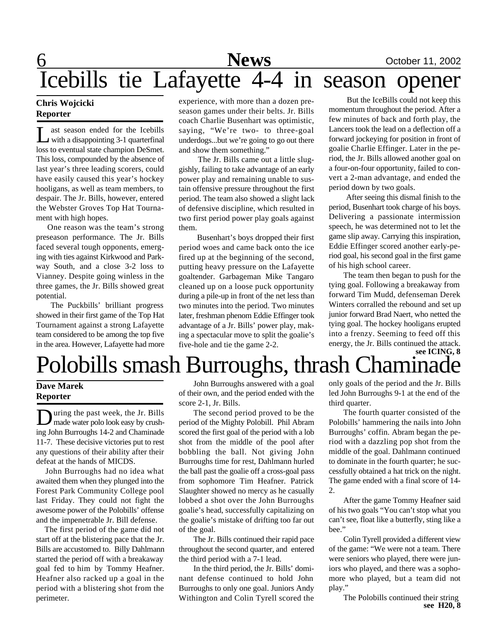# 6 **News** October 11, 2002 Icebills tie Lafayette 4-4 in season opener

## **Chris Wojcicki Reporter**

L ast season ended for the Icebills<br>with a disappointing 3-1 quarterfinal ast season ended for the Icebills loss to eventual state champion DeSmet. This loss, compounded by the absence of last year's three leading scorers, could have easily caused this year's hockey hooligans, as well as team members, to despair. The Jr. Bills, however, entered the Webster Groves Top Hat Tournament with high hopes.

 One reason was the team's strong preseason performance. The Jr. Bills faced several tough opponents, emerging with ties against Kirkwood and Parkway South, and a close 3-2 loss to Vianney. Despite going winless in the three games, the Jr. Bills showed great potential.

The Puckbills' brilliant progress showed in their first game of the Top Hat Tournament against a strong Lafayette team considered to be among the top five in the area. However, Lafayette had more experience, with more than a dozen preseason games under their belts. Jr. Bills coach Charlie Busenhart was optimistic, saying, "We're two- to three-goal underdogs...but we're going to go out there and show them something."

 The Jr. Bills came out a little sluggishly, failing to take advantage of an early power play and remaining unable to sustain offensive pressure throughout the first period. The team also showed a slight lack of defensive discipline, which resulted in two first period power play goals against them.

 Busenhart's boys dropped their first period woes and came back onto the ice fired up at the beginning of the second, putting heavy pressure on the Lafayette goaltender. Garbageman Mike Tangaro cleaned up on a loose puck opportunity during a pile-up in front of the net less than two minutes into the period. Two minutes later, freshman phenom Eddie Effinger took advantage of a Jr. Bills' power play, making a spectacular move to split the goalie's five-hole and tie the game 2-2.

 But the IceBills could not keep this momentum throughout the period. After a few minutes of back and forth play, the Lancers took the lead on a deflection off a forward jockeying for position in front of goalie Charlie Effinger. Later in the period, the Jr. Bills allowed another goal on a four-on-four opportunity, failed to convert a 2-man advantage, and ended the period down by two goals.

 After seeing this dismal finish to the period, Busenhart took charge of his boys. Delivering a passionate intermission speech, he was determined not to let the game slip away. Carrying this inspiration, Eddie Effinger scored another early-period goal, his second goal in the first game of his high school career.

The team then began to push for the tying goal. Following a breakaway from forward Tim Mudd, defenseman Derek Winters corralled the rebound and set up junior forward Brad Naert, who netted the tying goal. The hockey hooligans erupted into a frenzy. Seeming to feed off this energy, the Jr. Bills continued the attack.

# **see ICING, 8** Polobills smash Burroughs, thrash Chamin

## **Dave Marek Reporter**

During the past week, the Jr. Bills<br>made water polo look easy by crushuring the past week, the Jr. Bills ing John Burroughs 14-2 and Chaminade 11-7. These decisive victories put to rest any questions of their ability after their defeat at the hands of MICDS.

 John Burroughs had no idea what awaited them when they plunged into the Forest Park Community College pool last Friday. They could not fight the awesome power of the Polobills' offense and the impenetrable Jr. Bill defense.

 The first period of the game did not start off at the blistering pace that the Jr. Bills are accustomed to. Billy Dahlmann started the period off with a breakaway goal fed to him by Tommy Heafner. Heafner also racked up a goal in the period with a blistering shot from the perimeter.

John Burroughs answered with a goal of their own, and the period ended with the score 2-1, Jr. Bills.

The second period proved to be the period of the Mighty Polobill. Phil Abram scored the first goal of the period with a lob shot from the middle of the pool after bobbling the ball. Not giving John Burroughs time for rest, Dahlmann hurled the ball past the goalie off a cross-goal pass from sophomore Tim Heafner. Patrick Slaughter showed no mercy as he casually lobbed a shot over the John Burroughs goalie's head, successfully capitalizing on the goalie's mistake of drifting too far out of the goal.

The Jr. Bills continued their rapid pace throughout the second quarter, and entered the third period with a 7-1 lead.

In the third period, the Jr. Bills' dominant defense continued to hold John Burroughs to only one goal. Juniors Andy Withington and Colin Tyrell scored the only goals of the period and the Jr. Bills led John Burroughs 9-1 at the end of the third quarter.

The fourth quarter consisted of the Polobills' hammering the nails into John Burroughs' coffin. Abram began the period with a dazzling pop shot from the middle of the goal. Dahlmann continued to dominate in the fourth quarter; he successfully obtained a hat trick on the night. The game ended with a final score of 14- 2.

After the game Tommy Heafner said of his two goals "You can't stop what you can't see, float like a butterfly, sting like a bee."

Colin Tyrell provided a different view of the game: "We were not a team. There were seniors who played, there were juniors who played, and there was a sophomore who played, but a team did not play."

The Polobills continued their string **see H20, 8**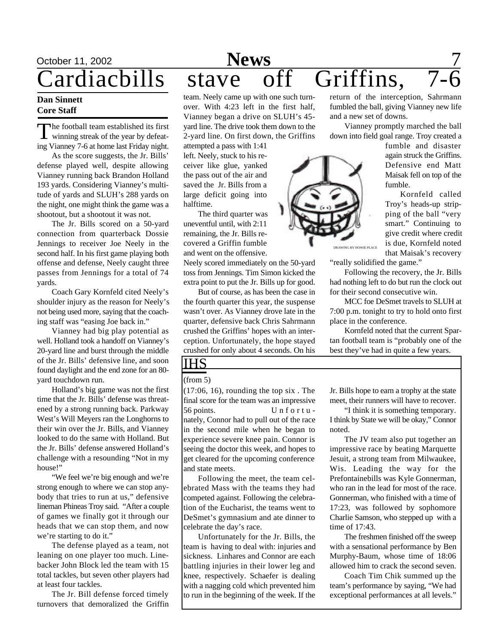### **Dan Sinnett Core Staff**

The football team established its first<br>winning streak of the year by defeat-**The football team established its first** ing Vianney 7-6 at home last Friday night.

As the score suggests, the Jr. Bills' defense played well, despite allowing Vianney running back Brandon Holland 193 yards. Considering Vianney's multitude of yards and SLUH's 288 yards on the night, one might think the game was a shootout, but a shootout it was not.

The Jr. Bills scored on a 50-yard connection from quarterback Dossie Jennings to receiver Joe Neely in the second half. In his first game playing both offense and defense, Neely caught three passes from Jennings for a total of 74 yards.

Coach Gary Kornfeld cited Neely's shoulder injury as the reason for Neely's not being used more, saying that the coaching staff was "easing Joe back in."

Vianney had big play potential as well. Holland took a handoff on Vianney's 20-yard line and burst through the middle of the Jr. Bills' defensive line, and soon found daylight and the end zone for an 80 yard touchdown run.

Holland's big game was not the first time that the Jr. Bills' defense was threatened by a strong running back. Parkway West's Will Meyers ran the Longhorns to their win over the Jr. Bills, and Vianney looked to do the same with Holland. But the Jr. Bills' defense answered Holland's challenge with a resounding "Not in my house!"

"We feel we're big enough and we're strong enough to where we can stop anybody that tries to run at us," defensive lineman Phineas Troy said. "After a couple of games we finally got it through our heads that we can stop them, and now we're starting to do it."

The defense played as a team, not leaning on one player too much. Linebacker John Block led the team with 15 total tackles, but seven other players had at least four tackles.

The Jr. Bill defense forced timely turnovers that demoralized the Griffin

# October 11, 2002 **News** 7 ardiacbills stave off Griffins,

team. Neely came up with one such turnover. With 4:23 left in the first half, Vianney began a drive on SLUH's 45 yard line. The drive took them down to the 2-yard line. On first down, the Griffins

attempted a pass with 1:41 left. Neely, stuck to his receiver like glue, yanked the pass out of the air and saved the Jr. Bills from a large deficit going into halftime.

The third quarter was uneventful until, with 2:11 remaining, the Jr. Bills recovered a Griffin fumble and went on the offensive.

Neely scored immediately on the 50-yard toss from Jennings. Tim Simon kicked the extra point to put the Jr. Bills up for good.

But of course, as has been the case in the fourth quarter this year, the suspense wasn't over. As Vianney drove late in the quarter, defensive back Chris Sahrmann crushed the Griffins' hopes with an interception. Unfortunately, the hope stayed crushed for only about 4 seconds. On his

# IHS

# (from 5)

(17:06, 16), rounding the top six . The final score for the team was an impressive 56 points. Unfortunately, Connor had to pull out of the race in the second mile when he began to experience severe knee pain. Connor is seeing the doctor this week, and hopes to get cleared for the upcoming conference and state meets.

Following the meet, the team celebrated Mass with the teams they had competed against. Following the celebration of the Eucharist, the teams went to DeSmet's gymnasium and ate dinner to celebrate the day's race.

Unfortunately for the Jr. Bills, the team is having to deal with: injuries and sickness. Linhares and Connor are each battling injuries in their lower leg and knee, respectively. Schaefer is dealing with a nagging cold which prevented him to run in the beginning of the week. If the

return of the interception, Sahrmann fumbled the ball, giving Vianney new life and a new set of downs.

Vianney promptly marched the ball down into field goal range. Troy created a

> fumble and disaster again struck the Griffins. Defensive end Matt Maisak fell on top of the fumble.

Kornfeld called Troy's heads-up stripping of the ball "very smart." Continuing to give credit where credit is due, Kornfeld noted that Maisak's recovery

"really solidified the game."

Following the recovery, the Jr. Bills had nothing left to do but run the clock out for their second consecutive win.

MCC foe DeSmet travels to SLUH at 7:00 p.m. tonight to try to hold onto first place in the conference.

Kornfeld noted that the current Spartan football team is "probably one of the best they've had in quite a few years.

Jr. Bills hope to earn a trophy at the state meet, their runners will have to recover.

"I think it is something temporary. I think by State we will be okay," Connor noted.

The JV team also put together an impressive race by beating Marquette Jesuit, a strong team from Milwaukee, Wis. Leading the way for the Prefontainebills was Kyle Gonnerman, who ran in the lead for most of the race. Gonnerman, who finished with a time of 17:23, was followed by sophomore Charlie Samson, who stepped up with a time of 17:43.

The freshmen finished off the sweep with a sensational performance by Ben Murphy-Baum, whose time of 18:06 allowed him to crack the second seven.

Coach Tim Chik summed up the team's performance by saying, "We had exceptional performances at all levels."

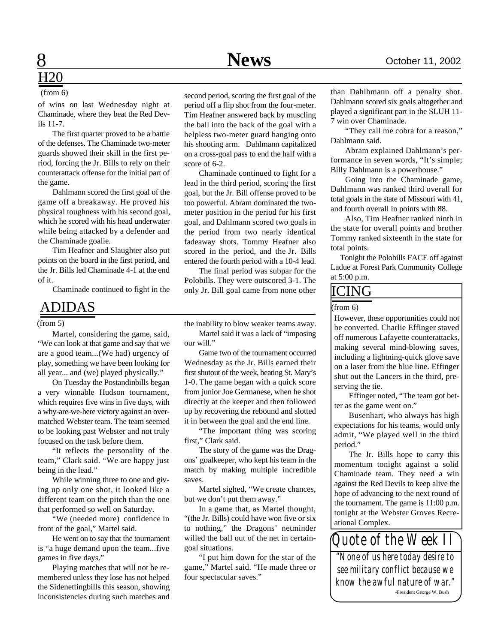# $H20$

### (from 6)

of wins on last Wednesday night at Chaminade, where they beat the Red Devils 11-7.

The first quarter proved to be a battle of the defenses. The Chaminade two-meter guards showed their skill in the first period, forcing the Jr. Bills to rely on their counterattack offense for the initial part of the game.

Dahlmann scored the first goal of the game off a breakaway. He proved his physical toughness with his second goal, which he scored with his head underwater while being attacked by a defender and the Chaminade goalie.

Tim Heafner and Slaughter also put points on the board in the first period, and the Jr. Bills led Chaminade 4-1 at the end of it.

# ADIDAS

Martel, considering the game, said, "We can look at that game and say that we are a good team...(We had) urgency of play, something we have been looking for all year... and (we) played physically."

On Tuesday the Postandinbills began a very winnable Hudson tournament, which requires five wins in five days, with a why-are-we-here victory against an overmatched Webster team. The team seemed to be looking past Webster and not truly focused on the task before them.

"It reflects the personality of the team," Clark said. "We are happy just being in the lead."

While winning three to one and giving up only one shot, it looked like a different team on the pitch than the one that performed so well on Saturday.

"We (needed more) confidence in front of the goal," Martel said.

He went on to say that the tournament is "a huge demand upon the team...five games in five days."

Playing matches that will not be remembered unless they lose has not helped the Sidenettingbills this season, showing inconsistencies during such matches and second period, scoring the first goal of the period off a flip shot from the four-meter. Tim Heafner answered back by muscling the ball into the back of the goal with a helpless two-meter guard hanging onto his shooting arm. Dahlmann capitalized on a cross-goal pass to end the half with a score of 6-2.

Chaminade continued to fight for a lead in the third period, scoring the first goal, but the Jr. Bill offense proved to be too powerful. Abram dominated the twometer position in the period for his first goal, and Dahlmann scored two goals in the period from two nearly identical fadeaway shots. Tommy Heafner also scored in the period, and the Jr. Bills entered the fourth period with a 10-4 lead.

Chaminade continued to fight in the only Jr. Bill goal came from none other  $ICING$ The final period was subpar for the Polobills. They were outscored 3-1. The

> the inability to blow weaker teams away. Martel said it was a lack of "imposing our will."

> Game two of the tournament occurred Wednesday as the Jr. Bills earned their first shutout of the week, beating St. Mary's 1-0. The game began with a quick score from junior Joe Germanese, when he shot directly at the keeper and then followed up by recovering the rebound and slotted it in between the goal and the end line.

> "The important thing was scoring first," Clark said.

> The story of the game was the Dragons' goalkeeper, who kept his team in the match by making multiple incredible saves.

> Martel sighed, "We create chances, but we don't put them away."

> In a game that, as Martel thought, "(the Jr. Bills) could have won five or six to nothing," the Dragons' netminder willed the ball out of the net in certaingoal situations.

> "I put him down for the star of the game," Martel said. "He made three or four spectacular saves."

than Dahlhmann off a penalty shot. Dahlmann scored six goals altogether and played a significant part in the SLUH 11- 7 win over Chaminade.

"They call me cobra for a reason," Dahlmann said.

Abram explained Dahlmann's performance in seven words, "It's simple; Billy Dahlmann is a powerhouse."

Going into the Chaminade game, Dahlmann was ranked third overall for total goals in the state of Missouri with 41, and fourth overall in points with 88.

Also, Tim Heafner ranked ninth in the state for overall points and brother Tommy ranked sixteenth in the state for total points.

 Tonight the Polobills FACE off against Ladue at Forest Park Community College at 5:00 p.m.

### (from 6)

(from 5) the inability to blow weaker teams away. However, these opportunities could not be converted. Charlie Effinger staved off numerous Lafayette counterattacks, making several mind-blowing saves, including a lightning-quick glove save on a laser from the blue line. Effinger shut out the Lancers in the third, preserving the tie.

> Effinger noted, "The team got better as the game went on."

> Busenhart, who always has high expectations for his teams, would only admit, "We played well in the third period."

> The Jr. Bills hope to carry this momentum tonight against a solid Chaminade team. They need a win against the Red Devils to keep alive the hope of advancing to the next round of the tournament. The game is 11:00 p.m. tonight at the Webster Groves Recreational Complex.

*Quote of the Week II "None of us here today desire to see military conflict because we know the awful nature of war."*

-President George W. Bush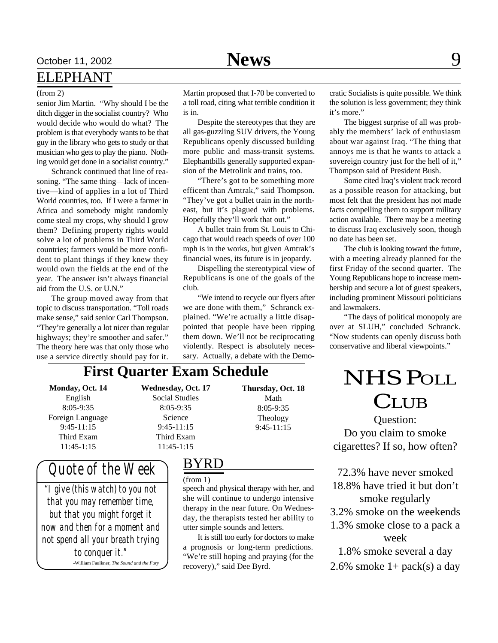# October 11, 2002 **News** 9

# ELEPHANT

### (from 2)

senior Jim Martin. "Why should I be the ditch digger in the socialist country? Who would decide who would do what? The problem is that everybody wants to be that guy in the library who gets to study or that musician who gets to play the piano. Nothing would get done in a socialist country."

Schranck continued that line of reasoning. "The same thing—lack of incentive—kind of applies in a lot of Third World countries, too. If I were a farmer in Africa and somebody might randomly come steal my crops, why should I grow them? Defining property rights would solve a lot of problems in Third World countries; farmers would be more confident to plant things if they knew they would own the fields at the end of the year. The answer isn't always financial aid from the U.S. or U.N."

The group moved away from that topic to discuss transportation. "Toll roads make sense," said senior Carl Thompson. "They're generally a lot nicer than regular highways; they're smoother and safer." The theory here was that only those who use a service directly should pay for it.

Martin proposed that I-70 be converted to a toll road, citing what terrible condition it is in.

Despite the stereotypes that they are all gas-guzzling SUV drivers, the Young Republicans openly discussed building more public and mass-transit systems. Elephantbills generally supported expansion of the Metrolink and trains, too.

"There's got to be something more efficent than Amtrak," said Thompson. "They've got a bullet train in the northeast, but it's plagued with problems. Hopefully they'll work that out."

A bullet train from St. Louis to Chicago that would reach speeds of over 100 mph is in the works, but given Amtrak's financial woes, its future is in jeopardy.

Dispelling the stereotypical view of Republicans is one of the goals of the club.

"We intend to recycle our flyers after we are done with them," Schranck explained. "We're actually a little disappointed that people have been ripping them down. We'll not be reciprocating violently. Respect is absolutely necessary. Actually, a debate with the Demo-

> **Thursday, Oct. 18** Math 8:05-9:35 Theology 9:45-11:15

cratic Socialists is quite possible. We think the solution is less government; they think it's more."

The biggest surprise of all was probably the members' lack of enthusiasm about war against Iraq. "The thing that annoys me is that he wants to attack a sovereign country just for the hell of it," Thompson said of President Bush.

Some cited Iraq's violent track record as a possible reason for attacking, but most felt that the president has not made facts compelling them to support military action available. There may be a meeting to discuss Iraq exclusively soon, though no date has been set.

The club is looking toward the future, with a meeting already planned for the first Friday of the second quarter. The Young Republicans hope to increase membership and secure a lot of guest speakers, including prominent Missouri politicians and lawmakers.

"The days of political monopoly are over at SLUH," concluded Schranck. "Now students can openly discuss both conservative and liberal viewpoints."

# **First Quarter Exam Schedule**

**Monday, Oct. 14** English 8:05-9:35 Foreign Language 9:45-11:15 Third Exam 11:45-1:15

**Wednesday, Oct. 17** Social Studies 8:05-9:35 Science 9:45-11:15 Third Exam 11:45-1:15

# *Quote of the Week*

*"I give (this watch) to you not that you may remember time, but that you might forget it now and then for a moment and not spend all your breath trying to conquer it."* -William Faulkner, *The Sound and the Fury*

# BYRD

(from 1)

speech and physical therapy with her, and she will continue to undergo intensive therapy in the near future. On Wednesday, the therapists tested her ability to utter simple sounds and letters.

It is still too early for doctors to make a prognosis or long-term predictions. "We're still hoping and praying (for the recovery)," said Dee Byrd.

NHS POLL **CLUB** 

Question: Do you claim to smoke cigarettes? If so, how often?

72.3% have never smoked 18.8% have tried it but don't smoke regularly

- 3.2% smoke on the weekends
- 1.3% smoke close to a pack a week

1.8% smoke several a day

2.6% smoke  $1+$  pack(s) a day